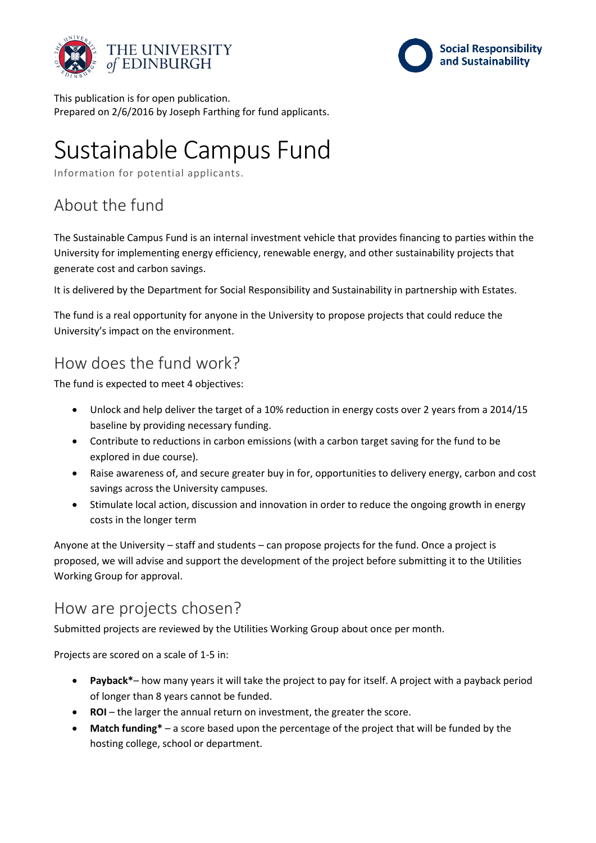



This publication is for open publication. Prepared on 2/6/2016 by Joseph Farthing for fund applicants.

# Sustainable Campus Fund

Information for potential applicants.

## About the fund

The Sustainable Campus Fund is an internal investment vehicle that provides financing to parties within the University for implementing energy efficiency, renewable energy, and other sustainability projects that generate cost and carbon savings.

It is delivered by the Department for Social Responsibility and Sustainability in partnership with Estates.

The fund is a real opportunity for anyone in the University to propose projects that could reduce the University's impact on the environment.

### How does the fund work?

The fund is expected to meet 4 objectives:

- Unlock and help deliver the target of a 10% reduction in energy costs over 2 years from a 2014/15 baseline by providing necessary funding.
- Contribute to reductions in carbon emissions (with a carbon target saving for the fund to be explored in due course).
- Raise awareness of, and secure greater buy in for, opportunities to delivery energy, carbon and cost savings across the University campuses.
- Stimulate local action, discussion and innovation in order to reduce the ongoing growth in energy costs in the longer term

Anyone at the University – staff and students – can propose projects for the fund. Once a project is proposed, we will advise and support the development of the project before submitting it to the Utilities Working Group for approval.

#### How are projects chosen?

Submitted projects are reviewed by the Utilities Working Group about once per month.

Projects are scored on a scale of 1-5 in:

- **Payback\*** how many years it will take the project to pay for itself. A project with a payback period of longer than 8 years cannot be funded.
- **ROI** the larger the annual return on investment, the greater the score.
- **Match funding\*** a score based upon the percentage of the project that will be funded by the hosting college, school or department.